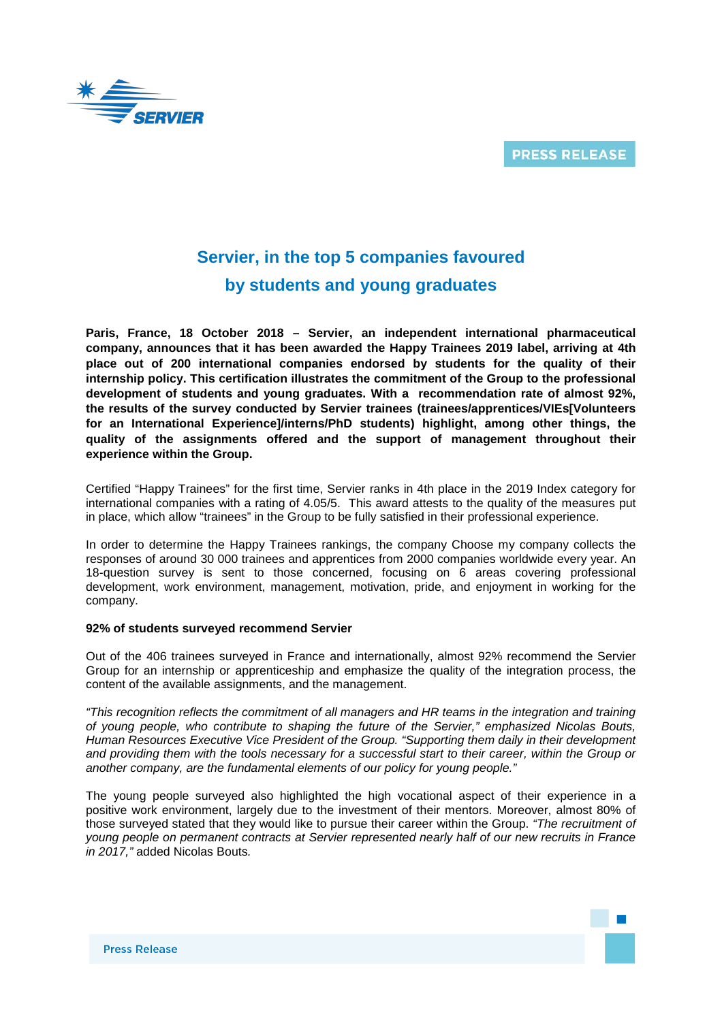



# **Servier, in the top 5 companies favoured by students and young graduates**

**Paris, France, 18 October 2018 – Servier, an independent international pharmaceutical company, announces that it has been awarded the Happy Trainees 2019 label, arriving at 4th place out of 200 international companies endorsed by students for the quality of their internship policy. This certification illustrates the commitment of the Group to the professional development of students and young graduates. With a recommendation rate of almost 92%, the results of the survey conducted by Servier trainees (trainees/apprentices/VIEs[Volunteers for an International Experience]/interns/PhD students) highlight, among other things, the quality of the assignments offered and the support of management throughout their experience within the Group.**

Certified "Happy Trainees" for the first time, Servier ranks in 4th place in the 2019 Index category for international companies with a rating of 4.05/5. This award attests to the quality of the measures put in place, which allow "trainees" in the Group to be fully satisfied in their professional experience.

In order to determine the Happy Trainees rankings, the company Choose my company collects the responses of around 30 000 trainees and apprentices from 2000 companies worldwide every year. An 18-question survey is sent to those concerned, focusing on 6 areas covering professional development, work environment, management, motivation, pride, and enjoyment in working for the company.

## **92% of students surveyed recommend Servier**

Out of the 406 trainees surveyed in France and internationally, almost 92% recommend the Servier Group for an internship or apprenticeship and emphasize the quality of the integration process, the content of the available assignments, and the management.

*"This recognition reflects the commitment of all managers and HR teams in the integration and training of young people, who contribute to shaping the future of the Servier," emphasized Nicolas Bouts, Human Resources Executive Vice President of the Group. "Supporting them daily in their development and providing them with the tools necessary for a successful start to their career, within the Group or another company, are the fundamental elements of our policy for young people."*

The young people surveyed also highlighted the high vocational aspect of their experience in a positive work environment, largely due to the investment of their mentors. Moreover, almost 80% of those surveyed stated that they would like to pursue their career within the Group. *"The recruitment of young people on permanent contracts at Servier represented nearly half of our new recruits in France in 2017,"* added Nicolas Bouts*.*